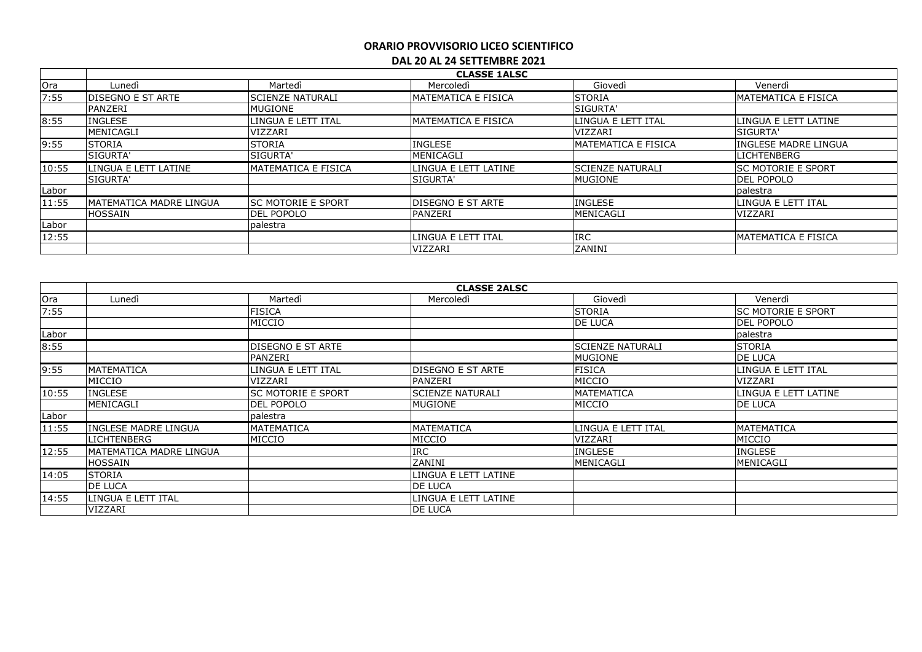|       | <b>CLASSE 1ALSC</b>      |                            |                             |                         |                             |  |
|-------|--------------------------|----------------------------|-----------------------------|-------------------------|-----------------------------|--|
| Ora   | Lunedì                   | Martedì                    | Mercoledi                   | Giovedì                 | Venerdì                     |  |
| 7:55  | <b>DISEGNO E ST ARTE</b> | <b>ISCIENZE NATURALI</b>   | IMATEMATICA E FISICA        | <b>STORIA</b>           | <b>MATEMATICA E FISICA</b>  |  |
|       | PANZERI                  | <b>MUGIONE</b>             |                             | SIGURTA'                |                             |  |
| 8:55  | <b>INGLESE</b>           | LINGUA E LETT ITAL         | <b>IMATEMATICA E FISICA</b> | LINGUA E LETT ITAL      | LINGUA E LETT LATINE        |  |
|       | MENICAGLI                | <b>VIZZARI</b>             |                             | <b>VIZZARI</b>          | <b>SIGURTA'</b>             |  |
| 9:55  | <b>STORIA</b>            | <b>STORIA</b>              | <b>INGLESE</b>              | IMATEMATICA E FISICA    | INGLESE MADRE LINGUA        |  |
|       | SIGURTA'                 | <b>SIGURTA'</b>            | MENICAGLI                   |                         | <b>LICHTENBERG</b>          |  |
| 10:55 | LINGUA E LETT LATINE     | IMATEMATICA E FISICA       | LINGUA E LETT LATINE        | <b>SCIENZE NATURALI</b> | <b>SC MOTORIE E SPORT</b>   |  |
|       | <b>SIGURTA'</b>          |                            | <b>SIGURTA'</b>             | MUGIONE                 | <b>DEL POPOLO</b>           |  |
| Labor |                          |                            |                             |                         | palestra                    |  |
| 11:55 | IMATEMATICA MADRE LINGUA | <b>ISC MOTORIE E SPORT</b> | <b>DISEGNO E ST ARTE</b>    | <b>INGLESE</b>          | LINGUA E LETT ITAL          |  |
|       | <b>HOSSAIN</b>           | <b>DEL POPOLO</b>          | PANZERI                     | MENICAGLI               | VIZZARI                     |  |
| Labor |                          | palestra                   |                             |                         |                             |  |
| 12:55 |                          |                            | LINGUA E LETT ITAL          | <b>IRC</b>              | <b>IMATEMATICA E FISICA</b> |  |
|       |                          |                            | <b>VIZZARI</b>              | ZANINI                  |                             |  |

|       | <b>CLASSE 2ALSC</b>             |                          |                         |                    |                           |  |
|-------|---------------------------------|--------------------------|-------------------------|--------------------|---------------------------|--|
| Ora   | Lunedì                          | Martedì                  | Mercoledì               | Giovedì            | Venerdì                   |  |
| 7:55  |                                 | <b>FISICA</b>            |                         | <b>STORIA</b>      | <b>SC MOTORIE E SPORT</b> |  |
|       |                                 | MICCIO                   |                         | DE LUCA            | DEL POPOLO                |  |
| Labor |                                 |                          |                         |                    | palestra                  |  |
| 8:55  |                                 | <b>DISEGNO E ST ARTE</b> |                         | lscienze naturali  | <b>STORIA</b>             |  |
|       |                                 | PANZERI                  |                         | <b>MUGIONE</b>     | DE LUCA                   |  |
| 9:55  | <b>MATEMATICA</b>               | LINGUA E LETT ITAL       | DISEGNO E ST ARTE       | <b>FISICA</b>      | LINGUA E LETT ITAL        |  |
|       | MICCIO                          | VIZZARI                  | PANZERI                 | MICCIO             | VIZZARI                   |  |
| 10:55 | <b>INGLESE</b>                  | lsc motorie e sport      | <b>SCIENZE NATURALI</b> | <b>MATEMATICA</b>  | LINGUA E LETT LATINE      |  |
|       | MENICAGLI                       | <b>DEL POPOLO</b>        | <b>MUGIONE</b>          | MICCIO             | <b>DE LUCA</b>            |  |
| Labor |                                 | palestra                 |                         |                    |                           |  |
| 11:55 | <b>INGLESE MADRE LINGUA</b>     | MATEMATICA               | MATEMATICA              | LINGUA E LETT ITAL | MATEMATICA                |  |
|       | <b>LICHTENBERG</b>              | MICCIO                   | MICCIO                  | VIZZARI            | MICCIO                    |  |
| 12:55 | <b>IMATEMATICA MADRE LINGUA</b> |                          | <b>IRC</b>              | <b>INGLESE</b>     | <b>INGLESE</b>            |  |
|       | <b>HOSSAIN</b>                  |                          | ZANINI                  | MENICAGLI          | MENICAGLI                 |  |
| 14:05 | <b>ISTORIA</b>                  |                          | LINGUA E LETT LATINE    |                    |                           |  |
|       | <b>DE LUCA</b>                  |                          | DE LUCA                 |                    |                           |  |
| 14:55 | LINGUA E LETT ITAL              |                          | LINGUA E LETT LATINE    |                    |                           |  |
|       | VIZZARI                         |                          | DE LUCA                 |                    |                           |  |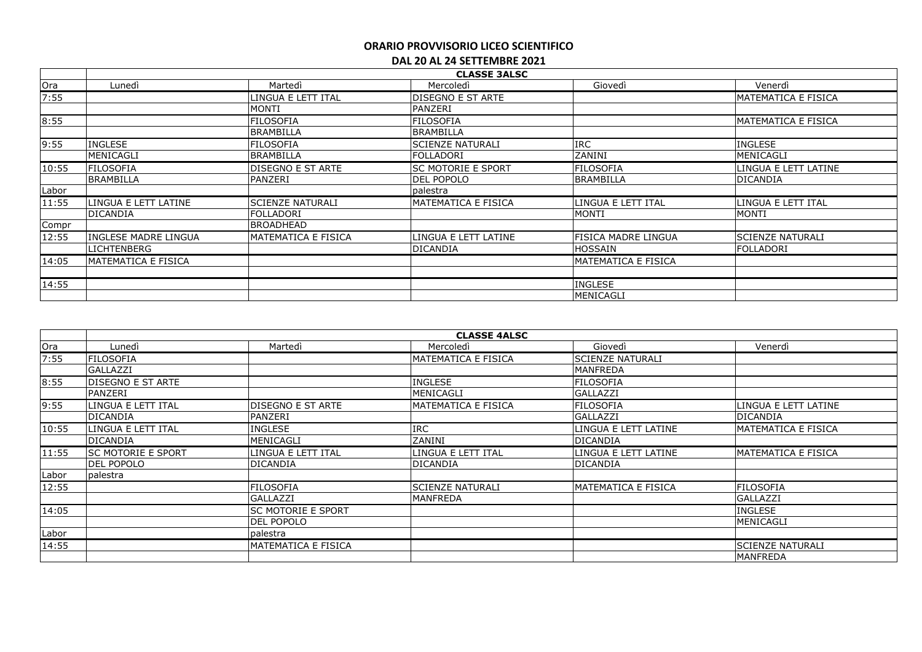|       |                            | <b>CLASSE 3ALSC</b>      |                           |                      |                         |  |  |  |
|-------|----------------------------|--------------------------|---------------------------|----------------------|-------------------------|--|--|--|
| Ora   | Lunedì                     | Martedì                  | Mercoledì                 | Giovedì              | Venerdì                 |  |  |  |
| 7:55  |                            | INGUA E LETT ITAL        | <b>DISEGNO E ST ARTE</b>  |                      | MATEMATICA E FISICA     |  |  |  |
|       |                            | MONTI                    | PANZERI                   |                      |                         |  |  |  |
| 8:55  |                            | <b>FILOSOFIA</b>         | <b>FILOSOFIA</b>          |                      | MATEMATICA E FISICA     |  |  |  |
|       |                            | <b>BRAMBILLA</b>         | <b>BRAMBILLA</b>          |                      |                         |  |  |  |
| 9:55  | <b>INGLESE</b>             | <b>FILOSOFIA</b>         | <b>SCIENZE NATURALI</b>   | <b>IRC</b>           | <b>INGLESE</b>          |  |  |  |
|       | MENICAGLI                  | <b>BRAMBILLA</b>         | <b>FOLLADORI</b>          | ZANINI               | <b>IMENICAGLI</b>       |  |  |  |
| 10:55 | <b>FILOSOFIA</b>           | <b>DISEGNO E ST ARTE</b> | <b>SC MOTORIE E SPORT</b> | <b>FILOSOFIA</b>     | LINGUA E LETT LATINE    |  |  |  |
|       | <b>BRAMBILLA</b>           | PANZERI                  | <b>DEL POPOLO</b>         | <b>BRAMBILLA</b>     | <b>DICANDIA</b>         |  |  |  |
| Labor |                            |                          | palestra                  |                      |                         |  |  |  |
| 11:55 | LINGUA E LETT LATINE       | <b>SCIENZE NATURALI</b>  | MATEMATICA E FISICA       | LINGUA E LETT ITAL   | LINGUA E LETT ITAL      |  |  |  |
|       | <b>DICANDIA</b>            | FOLLADORI                |                           | <b>MONTI</b>         | <b>MONTI</b>            |  |  |  |
| Compr |                            | <b>BROADHEAD</b>         |                           |                      |                         |  |  |  |
| 12:55 | INGLESE MADRE LINGUA       | MATEMATICA E FISICA      | LINGUA E LETT LATINE      | FISICA MADRE LINGUA  | <b>SCIENZE NATURALI</b> |  |  |  |
|       | <b>LICHTENBERG</b>         |                          | <b>DICANDIA</b>           | <b>HOSSAIN</b>       | lfolladori              |  |  |  |
| 14:05 | <b>MATEMATICA E FISICA</b> |                          |                           | IMATEMATICA E FISICA |                         |  |  |  |
|       |                            |                          |                           |                      |                         |  |  |  |
| 14:55 |                            |                          |                           | <b>INGLESE</b>       |                         |  |  |  |
|       |                            |                          |                           | MENICAGLI            |                         |  |  |  |

|       | <b>CLASSE 4ALSC</b>       |                            |                         |                            |                             |  |  |
|-------|---------------------------|----------------------------|-------------------------|----------------------------|-----------------------------|--|--|
| Ora   | Lunedì                    | Martedì                    | Mercoledì               | Giovedì                    | Venerdì                     |  |  |
| 7:55  | FILOSOFIA                 |                            | MATEMATICA E FISICA     | <b>SCIENZE NATURALI</b>    |                             |  |  |
|       | <b>GALLAZZI</b>           |                            |                         | <b>MANFREDA</b>            |                             |  |  |
| 8:55  | <b>DISEGNO E ST ARTE</b>  |                            | <b>INGLESE</b>          | <b>FILOSOFIA</b>           |                             |  |  |
|       | <b>PANZERI</b>            |                            | MENICAGLI               | GALLAZZI                   |                             |  |  |
| 9:55  | LINGUA E LETT ITAL        | <b>DISEGNO E ST ARTE</b>   | MATEMATICA E FISICA     | <b>FILOSOFIA</b>           | llingua e lett latine       |  |  |
|       | DICANDIA                  | PANZERI                    |                         | GALLAZZI                   | <b>DICANDIA</b>             |  |  |
| 10:55 | LINGUA E LETT ITAL        | <b>INGLESE</b>             | <b>IRC</b>              | LINGUA E LETT LATINE       | <b>IMATEMATICA E FISICA</b> |  |  |
|       | DICANDIA                  | MENICAGLI                  | ZANINI                  | <b>DICANDIA</b>            |                             |  |  |
| 11:55 | <b>SC MOTORIE E SPORT</b> | LINGUA E LETT ITAL         | LINGUA E LETT ITAL      | LINGUA E LETT LATINE       | <b>IMATEMATICA E FISICA</b> |  |  |
|       | <b>DEL POPOLO</b>         | <b>DICANDIA</b>            | <b>DICANDIA</b>         | <b>DICANDIA</b>            |                             |  |  |
| Labor | palestra                  |                            |                         |                            |                             |  |  |
| 12:55 |                           | <b>FILOSOFIA</b>           | <b>SCIENZE NATURALI</b> | <b>MATEMATICA E FISICA</b> | FILOSOFIA                   |  |  |
|       |                           | <b>GALLAZZI</b>            | MANFREDA                |                            | <b>GALLAZZI</b>             |  |  |
| 14:05 |                           | <b>ISC MOTORIE E SPORT</b> |                         |                            | <b>INGLESE</b>              |  |  |
|       |                           | <b>DEL POPOLO</b>          |                         |                            | MENICAGLI                   |  |  |
| Labor |                           | palestra                   |                         |                            |                             |  |  |
| 14:55 |                           | <b>MATEMATICA E FISICA</b> |                         |                            | <b>SCIENZE NATURALI</b>     |  |  |
|       |                           |                            |                         |                            | <b>MANFREDA</b>             |  |  |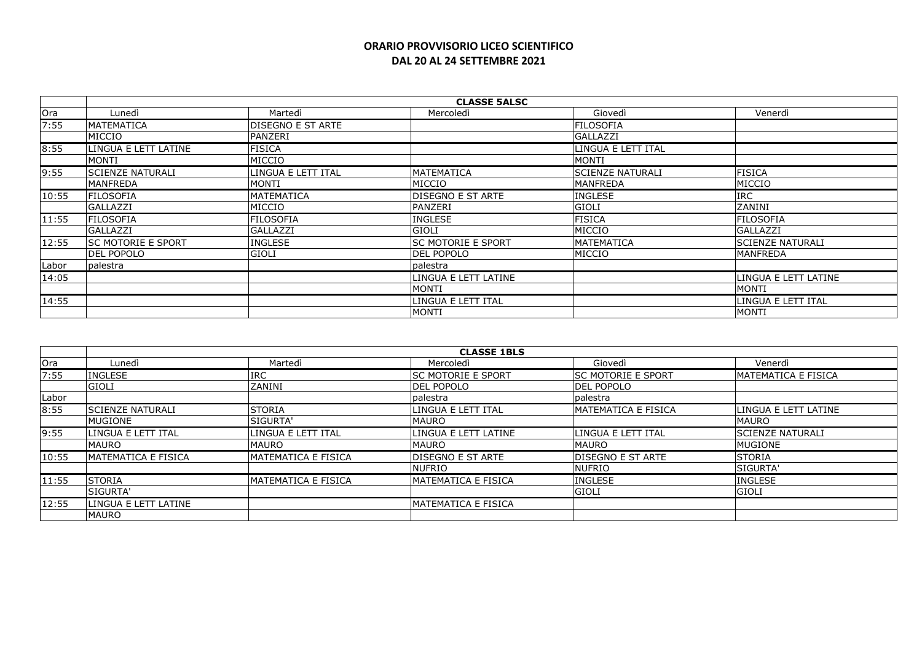|       | <b>CLASSE 5ALSC</b>       |                    |                          |                         |                          |  |
|-------|---------------------------|--------------------|--------------------------|-------------------------|--------------------------|--|
| Ora   | Lunedì                    | Martedì            | Mercoledì                | Giovedì                 | Venerdì                  |  |
| 7:55  | <b>MATEMATICA</b>         | DISEGNO E ST ARTE  |                          | <b>FILOSOFIA</b>        |                          |  |
|       | MICCIO                    | PANZERI            |                          | <b>GALLAZZI</b>         |                          |  |
| 8:55  | LINGUA E LETT LATINE      | <b>FISICA</b>      |                          | LINGUA E LETT ITAL      |                          |  |
|       | <b>MONTI</b>              | MICCIO             |                          | MONTI                   |                          |  |
| 9:55  | <b>SCIENZE NATURALI</b>   | LINGUA E LETT ITAL | <b>MATEMATICA</b>        | <b>SCIENZE NATURALI</b> | <b>FISICA</b>            |  |
|       | <b>MANFREDA</b>           | MONTI              | MICCIO                   | <b>MANFREDA</b>         | MICCIO                   |  |
| 10:55 | <b>FILOSOFIA</b>          | MATEMATICA         | <b>DISEGNO E ST ARTE</b> | <b>INGLESE</b>          | <b>IRC</b>               |  |
|       | GALLAZZI                  | MICCIO             | PANZERI                  | <b>GIOLI</b>            | ZANINI                   |  |
| 11:55 | <b>FILOSOFIA</b>          | <b>FILOSOFIA</b>   | <b>INGLESE</b>           | <b>FISICA</b>           | <b>FILOSOFIA</b>         |  |
|       | <b>GALLAZZI</b>           | <b>GALLAZZI</b>    | <b>GIOLI</b>             | MICCIO                  | GALLAZZI                 |  |
| 12:55 | <b>SC MOTORIE E SPORT</b> | <b>INGLESE</b>     | ISC MOTORIE E SPORT      | IMATEMATICA             | <b>ISCIENZE NATURALI</b> |  |
|       | <b>DEL POPOLO</b>         | <b>GIOLI</b>       | <b>DEL POPOLO</b>        | MICCIO                  | <b>MANFREDA</b>          |  |
| Labor | palestra                  |                    | palestra                 |                         |                          |  |
| 14:05 |                           |                    | LINGUA E LETT LATINE     |                         | LINGUA E LETT LATINE     |  |
|       |                           |                    | <b>MONTI</b>             |                         | <b>MONTI</b>             |  |
| 14:55 |                           |                    | LINGUA E LETT ITAL       |                         | LINGUA E LETT ITAL       |  |
|       |                           |                    | <b>MONTI</b>             |                         | <b>MONTI</b>             |  |

|       | <b>CLASSE 1BLS</b>         |                            |                             |                           |                      |  |
|-------|----------------------------|----------------------------|-----------------------------|---------------------------|----------------------|--|
| Ora   | Lunedì                     | Martedì                    | Mercoledì                   | Giovedì                   | Venerdì              |  |
| 7:55  | <b>INGLESE</b>             | <b>IRC</b>                 | <b>ISC MOTORIE E SPORT</b>  | <b>SC MOTORIE E SPORT</b> | IMATEMATICA E FISICA |  |
|       | <b>GIOLI</b>               | ZANINI                     | <b>DEL POPOLO</b>           | <b>DEL POPOLO</b>         |                      |  |
| Labor |                            |                            | palestra                    | palestra                  |                      |  |
| 8:55  | <b>ISCIENZE NATURALI</b>   | <b>STORIA</b>              | ILINGUA E LETT ITAL         | IMATEMATICA E FISICA      | LINGUA E LETT LATINE |  |
|       | <b>MUGIONE</b>             | SIGURTA'                   | <b>MAURO</b>                |                           | <b>MAURO</b>         |  |
| 9:55  | llingua e lett ital        | LINGUA E LETT ITAL         | LINGUA E LETT LATINE        | LINGUA E LETT ITAL        | lSCIENZE NATURALI    |  |
|       | <b>MAURO</b>               | <b>MAURO</b>               | <b>MAURO</b>                | <b>MAURO</b>              | MUGIONE              |  |
| 10:55 | <b>MATEMATICA E FISICA</b> | <b>MATEMATICA E FISICA</b> | <b>DISEGNO E ST ARTE</b>    | <b>DISEGNO E ST ARTE</b>  | <b>STORIA</b>        |  |
|       |                            |                            | <b>NUFRIO</b>               | <b>NUFRIO</b>             | <b>SIGURTA'</b>      |  |
| 11:55 | <b>STORIA</b>              | <b>MATEMATICA E FISICA</b> | <b>MATEMATICA E FISICA</b>  | <b>INGLESE</b>            | <b>INGLESE</b>       |  |
|       | <b>ISIGURTA'</b>           |                            |                             | GIOLI                     | GIOLI                |  |
| 12:55 | LINGUA E LETT LATINE       |                            | <b>IMATEMATICA E FISICA</b> |                           |                      |  |
|       | <b>MAURO</b>               |                            |                             |                           |                      |  |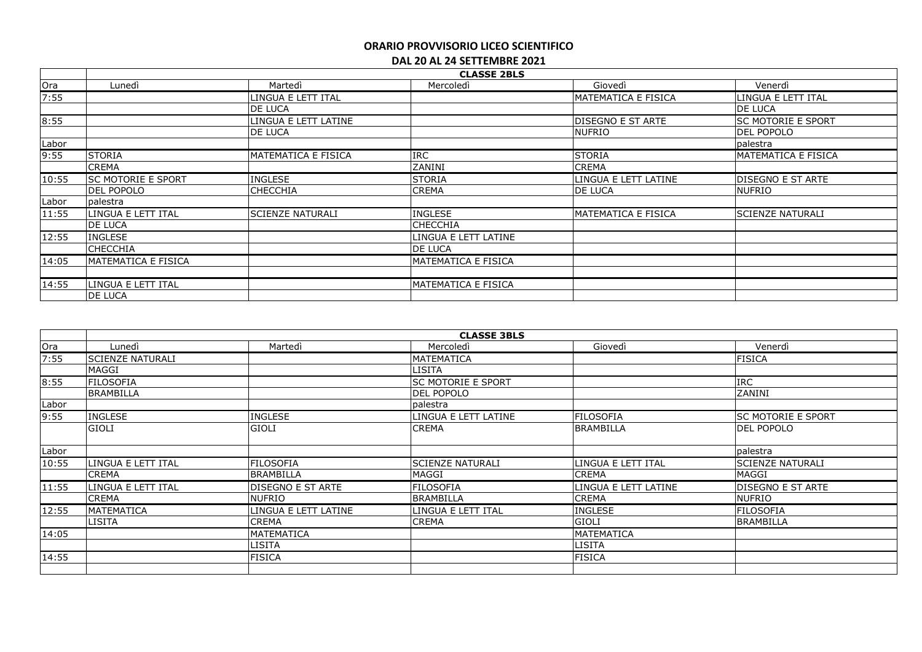|       | <b>CLASSE 2BLS</b>         |                          |                             |                          |                            |  |
|-------|----------------------------|--------------------------|-----------------------------|--------------------------|----------------------------|--|
| Ora   | Lunedì                     | Martedì                  | Mercoledì                   | Giovedì                  | Venerdì                    |  |
| 7:55  |                            | LINGUA E LETT ITAL       |                             | IMATEMATICA E FISICA     | LINGUA E LETT ITAL         |  |
|       |                            | <b>DE LUCA</b>           |                             |                          | <b>DE LUCA</b>             |  |
| 8:55  |                            | LINGUA E LETT LATINE     |                             | <b>DISEGNO E ST ARTE</b> | <b>SC MOTORIE E SPORT</b>  |  |
|       |                            | <b>DE LUCA</b>           |                             | <b>NUFRIO</b>            | DEL POPOLO                 |  |
| Labor |                            |                          |                             |                          | palestra                   |  |
| 9:55  | <b>STORIA</b>              | IMATEMATICA E FISICA     | <b>IRC</b>                  | <b>STORIA</b>            | <b>MATEMATICA E FISICA</b> |  |
|       | <b>CREMA</b>               |                          | ZANINI                      | <b>CREMA</b>             |                            |  |
| 10:55 | <b>SC MOTORIE E SPORT</b>  | <b>INGLESE</b>           | STORIA                      | LINGUA E LETT LATINE     | <b>DISEGNO E ST ARTE</b>   |  |
|       | DEL POPOLO                 | <b>CHECCHIA</b>          | <b>CREMA</b>                | <b>DE LUCA</b>           | <b>NUFRIO</b>              |  |
| Labor | palestra                   |                          |                             |                          |                            |  |
| 11:55 | LINGUA E LETT ITAL         | <b>ISCIENZE NATURALI</b> | <b>INGLESE</b>              | IMATEMATICA E FISICA     | <b>SCIENZE NATURALI</b>    |  |
|       | DE LUCA                    |                          | <b>CHECCHIA</b>             |                          |                            |  |
| 12:55 | <b>INGLESE</b>             |                          | LINGUA E LETT LATINE        |                          |                            |  |
|       | <b>CHECCHIA</b>            |                          | <b>DE LUCA</b>              |                          |                            |  |
| 14:05 | <b>MATEMATICA E FISICA</b> |                          | <b>IMATEMATICA E FISICA</b> |                          |                            |  |
|       |                            |                          |                             |                          |                            |  |
| 14:55 | LINGUA E LETT ITAL         |                          | <b>IMATEMATICA E FISICA</b> |                          |                            |  |
|       | <b>DE LUCA</b>             |                          |                             |                          |                            |  |

|       |                         | <b>CLASSE 3BLS</b>       |                           |                      |                           |  |  |  |
|-------|-------------------------|--------------------------|---------------------------|----------------------|---------------------------|--|--|--|
| Ora   | Lunedì                  | Martedì                  | Mercoledì                 | Giovedì              | Venerdì                   |  |  |  |
| 7:55  | <b>SCIENZE NATURALI</b> |                          | MATEMATICA                |                      | <b>FISICA</b>             |  |  |  |
|       | MAGGI                   |                          | LISITA                    |                      |                           |  |  |  |
| 8:55  | <b>FILOSOFIA</b>        |                          | <b>SC MOTORIE E SPORT</b> |                      | <b>IRC</b>                |  |  |  |
|       | <b>BRAMBILLA</b>        |                          | <b>DEL POPOLO</b>         |                      | ZANINI                    |  |  |  |
| Labor |                         |                          | palestra                  |                      |                           |  |  |  |
| 9:55  | <b>INGLESE</b>          | <b>INGLESE</b>           | LINGUA E LETT LATINE      | <b>FILOSOFIA</b>     | <b>SC MOTORIE E SPORT</b> |  |  |  |
|       | <b>GIOLI</b>            | <b>GIOLI</b>             | <b>CREMA</b>              | <b>BRAMBILLA</b>     | <b>DEL POPOLO</b>         |  |  |  |
| Labor |                         |                          |                           |                      | palestra                  |  |  |  |
| 10:55 | LINGUA E LETT ITAL      | <b>FILOSOFIA</b>         | <b>SCIENZE NATURALI</b>   | LINGUA E LETT ITAL   | <b>SCIENZE NATURALI</b>   |  |  |  |
|       | CREMA                   | <b>BRAMBILLA</b>         | MAGGI                     | <b>CREMA</b>         | MAGGI                     |  |  |  |
| 11:55 | LINGUA E LETT ITAL      | <b>DISEGNO E ST ARTE</b> | <b>FILOSOFIA</b>          | LINGUA E LETT LATINE | <b>DISEGNO E ST ARTE</b>  |  |  |  |
|       | <b>CREMA</b>            | <b>NUFRIO</b>            | <b>BRAMBILLA</b>          | <b>CREMA</b>         | <b>NUFRIO</b>             |  |  |  |
| 12:55 | <b>MATEMATICA</b>       | LINGUA E LETT LATINE     | LINGUA E LETT ITAL        | <b>INGLESE</b>       | <b>FILOSOFIA</b>          |  |  |  |
|       | LISITA                  | CREMA                    | <b>CREMA</b>              | <b>GIOLI</b>         | <b>BRAMBILLA</b>          |  |  |  |
| 14:05 |                         | <b>MATEMATICA</b>        |                           | <b>MATEMATICA</b>    |                           |  |  |  |
|       |                         | LISITA                   |                           | LISITA               |                           |  |  |  |
| 14:55 |                         | <b>FISICA</b>            |                           | <b>FISICA</b>        |                           |  |  |  |
|       |                         |                          |                           |                      |                           |  |  |  |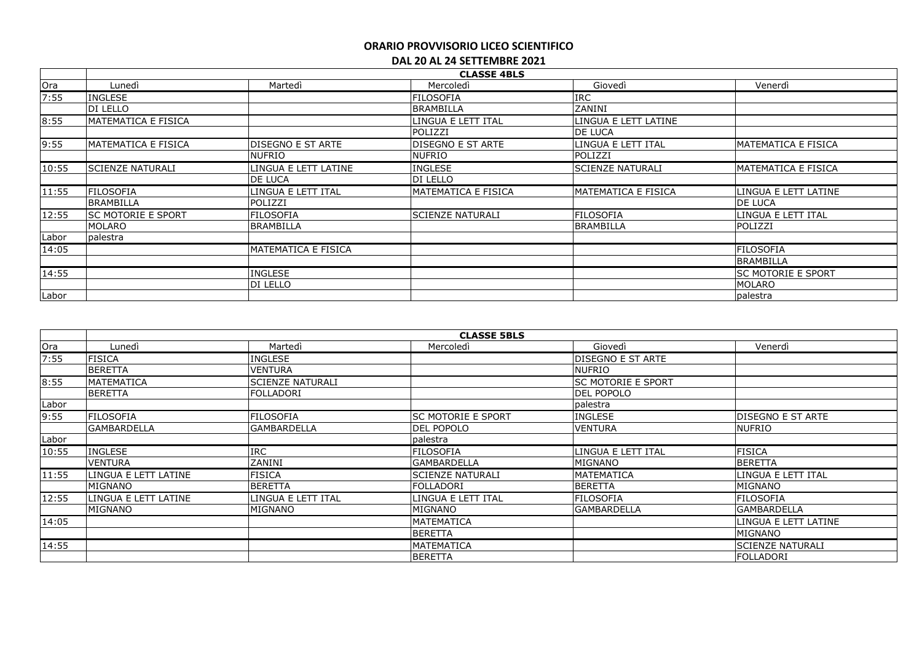|       | <b>CLASSE 4BLS</b>         |                      |                          |                         |                           |  |  |
|-------|----------------------------|----------------------|--------------------------|-------------------------|---------------------------|--|--|
| Ora   | Lunedì                     | Martedì              | Mercoledì                | Giovedì                 | Venerdì                   |  |  |
| 7:55  | <b>INGLESE</b>             |                      | <b>FILOSOFIA</b>         | <b>IRC</b>              |                           |  |  |
|       | DI LELLO                   |                      | <b>BRAMBILLA</b>         | ZANINI                  |                           |  |  |
| 8:55  | IMATEMATICA E FISICA       |                      | LINGUA E LETT ITAL       | LINGUA E LETT LATINE    |                           |  |  |
|       |                            |                      | POLIZZI                  | DE LUCA                 |                           |  |  |
| 9:55  | MATEMATICA E FISICA        | DISEGNO E ST ARTE    | <b>DISEGNO E ST ARTE</b> | LINGUA E LETT ITAL      | MATEMATICA E FISICA       |  |  |
|       |                            | <b>NUFRIO</b>        | <b>NUFRIO</b>            | POLIZZI                 |                           |  |  |
| 10:55 | <b>SCIENZE NATURALI</b>    | LINGUA E LETT LATINE | <b>INGLESE</b>           | <b>SCIENZE NATURALI</b> | MATEMATICA E FISICA       |  |  |
|       |                            | DE LUCA              | DI LELLO                 |                         |                           |  |  |
| 11:55 | <b>FILOSOFIA</b>           | LINGUA E LETT ITAL   | MATEMATICA E FISICA      | MATEMATICA E FISICA     | LINGUA E LETT LATINE      |  |  |
|       | <b>BRAMBILLA</b>           | POLIZZI              |                          |                         | <b>DE LUCA</b>            |  |  |
| 12:55 | <b>ISC MOTORIE E SPORT</b> | <b>FILOSOFIA</b>     | lSCIENZE NATURALI        | <b>FILOSOFIA</b>        | LINGUA E LETT ITAL        |  |  |
|       | <b>MOLARO</b>              | BRAMBILLA            |                          | <b>BRAMBILLA</b>        | POLIZZI                   |  |  |
| Labor | palestra                   |                      |                          |                         |                           |  |  |
| 14:05 |                            | MATEMATICA E FISICA  |                          |                         | <b>FILOSOFIA</b>          |  |  |
|       |                            |                      |                          |                         | <b>BRAMBILLA</b>          |  |  |
| 14:55 |                            | <b>INGLESE</b>       |                          |                         | <b>SC MOTORIE E SPORT</b> |  |  |
|       |                            | DI LELLO             |                          |                         | <b>MOLARO</b>             |  |  |
| Labor |                            |                      |                          |                         | palestra                  |  |  |

|       | <b>CLASSE 5BLS</b>   |                         |                           |                           |                          |  |  |
|-------|----------------------|-------------------------|---------------------------|---------------------------|--------------------------|--|--|
| Ora   | Lunedì               | Martedì                 | Mercoledì                 | Giovedì                   | Venerdì                  |  |  |
| 7:55  | <b>FISICA</b>        | <b>INGLESE</b>          |                           | DISEGNO E ST ARTE         |                          |  |  |
|       | <b>BERETTA</b>       | <b>VENTURA</b>          |                           | <b>NUFRIO</b>             |                          |  |  |
| 8:55  | <b>MATEMATICA</b>    | <b>SCIENZE NATURALI</b> |                           | <b>SC MOTORIE E SPORT</b> |                          |  |  |
|       | <b>BERETTA</b>       | lfolladori              |                           | <b>DEL POPOLO</b>         |                          |  |  |
| Labor |                      |                         |                           | palestra                  |                          |  |  |
| 9:55  | <b>FILOSOFIA</b>     | <b>FILOSOFIA</b>        | <b>SC MOTORIE E SPORT</b> | <b>INGLESE</b>            | <b>DISEGNO E ST ARTE</b> |  |  |
|       | lGAMBARDELLA         | <b>GAMBARDELLA</b>      | <b>DEL POPOLO</b>         | <b>VENTURA</b>            | <b>NUFRIO</b>            |  |  |
| Labor |                      |                         | palestra                  |                           |                          |  |  |
| 10:55 | <b>INGLESE</b>       | <b>IRC</b>              | <b>FILOSOFIA</b>          | LINGUA E LETT ITAL        | <b>FISICA</b>            |  |  |
|       | <b>VENTURA</b>       | ZANINI                  | <b>GAMBARDELLA</b>        | MIGNANO                   | <b>BERETTA</b>           |  |  |
| 11:55 | LINGUA E LETT LATINE | <b>FISICA</b>           | <b>SCIENZE NATURALI</b>   | <b>MATEMATICA</b>         | LINGUA E LETT ITAL       |  |  |
|       | MIGNANO              | BERETTA                 | <b>FOLLADORI</b>          | <b>BERETTA</b>            | MIGNANO                  |  |  |
| 12:55 | LINGUA E LETT LATINE | LINGUA E LETT ITAL      | LINGUA E LETT ITAL        | <b>FILOSOFIA</b>          | <b>FILOSOFIA</b>         |  |  |
|       | MIGNANO              | MIGNANO                 | MIGNANO                   | <b>GAMBARDELLA</b>        | <b>GAMBARDELLA</b>       |  |  |
| 14:05 |                      |                         | MATEMATICA                |                           | LINGUA E LETT LATINE     |  |  |
|       |                      |                         | <b>BERETTA</b>            |                           | MIGNANO                  |  |  |
| 14:55 |                      |                         | MATEMATICA                |                           | <b>SCIENZE NATURALI</b>  |  |  |
|       |                      |                         | <b>BERETTA</b>            |                           | <b>FOLLADORI</b>         |  |  |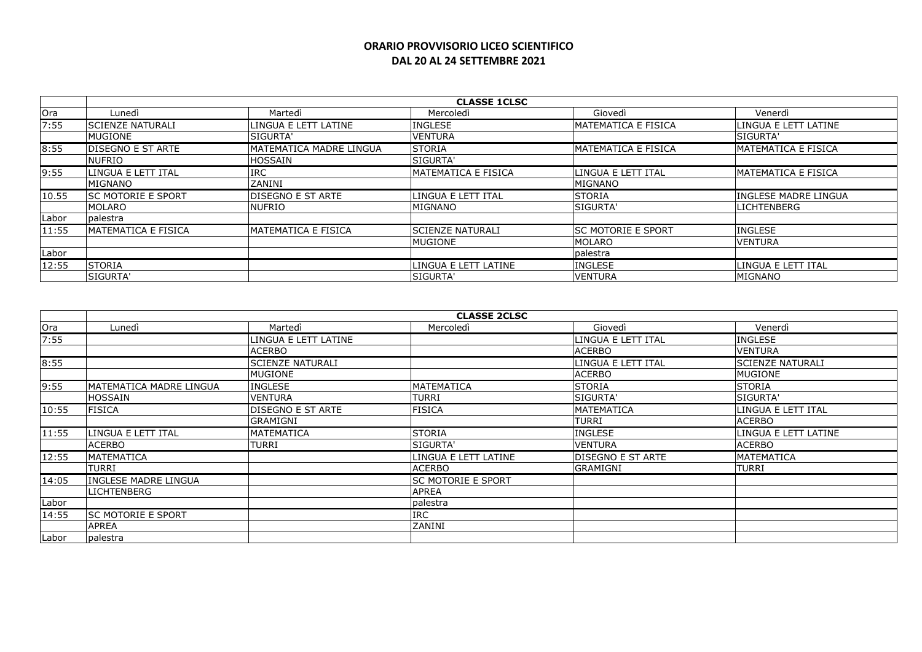|       |                            |                             | <b>CLASSE 1CLSC</b>        |                             |                             |
|-------|----------------------------|-----------------------------|----------------------------|-----------------------------|-----------------------------|
| Ora   | Lunedi                     | Martedì                     | Mercoledì                  | Giovedì                     | Venerdì                     |
| 7:55  | <b>SCIENZE NATURALI</b>    | LINGUA E LETT LATINE        | <b>INGLESE</b>             | <b>MATEMATICA E FISICA</b>  | LINGUA E LETT LATINE        |
|       | MUGIONE                    | <b>ISIGURTA'</b>            | <b>VENTURA</b>             |                             | <b>SIGURTA'</b>             |
| 8:55  | <b>DISEGNO E ST ARTE</b>   | IMATEMATICA MADRE LINGUA    | <b>ISTORIA</b>             | <b>IMATEMATICA E FISICA</b> | <b>IMATEMATICA E FISICA</b> |
|       | <b>NUFRIO</b>              | <b>HOSSAIN</b>              | <b>ISIGURTA'</b>           |                             |                             |
| 9:55  | LINGUA E LETT ITAL         | <b>IRC</b>                  | <b>MATEMATICA E FISICA</b> | llingua e lett ital         | MATEMATICA E FISICA         |
|       | MIGNANO                    | <b>ZANINI</b>               |                            | MIGNANO                     |                             |
| 10.55 | ISC MOTORIE E SPORT        | <b>DISEGNO E ST ARTE</b>    | ILINGUA E LETT ITAL        | <b>STORIA</b>               | IINGLESE MADRE LINGUA       |
|       | <b>MOLARO</b>              | <b>NUFRIO</b>               | MIGNANO                    | <b>SIGURTA'</b>             | <b>LICHTENBERG</b>          |
| Labor | <b>I</b> palestra          |                             |                            |                             |                             |
| 11:55 | <b>MATEMATICA E FISICA</b> | <b>IMATEMATICA E FISICA</b> | <b>ISCIENZE NATURALI</b>   | <b>ISC MOTORIE E SPORT</b>  | <b>INGLESE</b>              |
|       |                            |                             | <b>MUGIONE</b>             | <b>MOLARO</b>               | <b>VENTURA</b>              |
| Labor |                            |                             |                            | palestra                    |                             |
| 12:55 | <b>STORIA</b>              |                             | LINGUA E LETT LATINE       | <b>INGLESE</b>              | LINGUA E LETT ITAL          |
|       | SIGURTA'                   |                             | <b>ISIGURTA'</b>           | <b>VENTURA</b>              | MIGNANO                     |

|       | <b>CLASSE 2CLSC</b>       |                          |                           |                    |                         |  |
|-------|---------------------------|--------------------------|---------------------------|--------------------|-------------------------|--|
| Ora   | Lunedì                    | Martedì                  | Mercoledì                 | Giovedì            | Venerdì                 |  |
| 7:55  |                           | LINGUA E LETT LATINE     |                           | LINGUA E LETT ITAL | <b>INGLESE</b>          |  |
|       |                           | <b>ACERBO</b>            |                           | <b>ACERBO</b>      | <b>VENTURA</b>          |  |
| 8:55  |                           | <b>SCIENZE NATURALI</b>  |                           | LINGUA E LETT ITAL | <b>SCIENZE NATURALI</b> |  |
|       |                           | <b>MUGIONE</b>           |                           | <b>ACERBO</b>      | MUGIONE                 |  |
| 9:55  | MATEMATICA MADRE LINGUA   | <b>INGLESE</b>           | <b>MATEMATICA</b>         | <b>STORIA</b>      | <b>STORIA</b>           |  |
|       | HOSSAIN                   | <b>VENTURA</b>           | <b>TURRI</b>              | SIGURTA'           | SIGURTA'                |  |
| 10:55 | <b>FISICA</b>             | <b>DISEGNO E ST ARTE</b> | <b>FISICA</b>             | <b>MATEMATICA</b>  | LINGUA E LETT ITAL      |  |
|       |                           | <b>GRAMIGNI</b>          |                           | <b>TURRI</b>       | <b>ACERBO</b>           |  |
| 11:55 | llingua e lett ital       | MATEMATICA               | <b>STORIA</b>             | <b>INGLESE</b>     | LINGUA E LETT LATINE    |  |
|       | <b>ACERBO</b>             | TURRI                    | SIGURTA'                  | <b>VENTURA</b>     | <b>ACERBO</b>           |  |
| 12:55 | <b>MATEMATICA</b>         |                          | LINGUA E LETT LATINE      | DISEGNO E ST ARTE  | <b>MATEMATICA</b>       |  |
|       | TURRI                     |                          | <b>ACERBO</b>             | <b>GRAMIGNI</b>    | <b>TURRI</b>            |  |
| 14:05 | INGLESE MADRE LINGUA      |                          | <b>SC MOTORIE E SPORT</b> |                    |                         |  |
|       | <b>LICHTENBERG</b>        |                          | <b>APREA</b>              |                    |                         |  |
| Labor |                           |                          | palestra                  |                    |                         |  |
| 14:55 | <b>SC MOTORIE E SPORT</b> |                          | <b>IRC</b>                |                    |                         |  |
|       | <b>APREA</b>              |                          | ZANINI                    |                    |                         |  |
| Labor | palestra                  |                          |                           |                    |                         |  |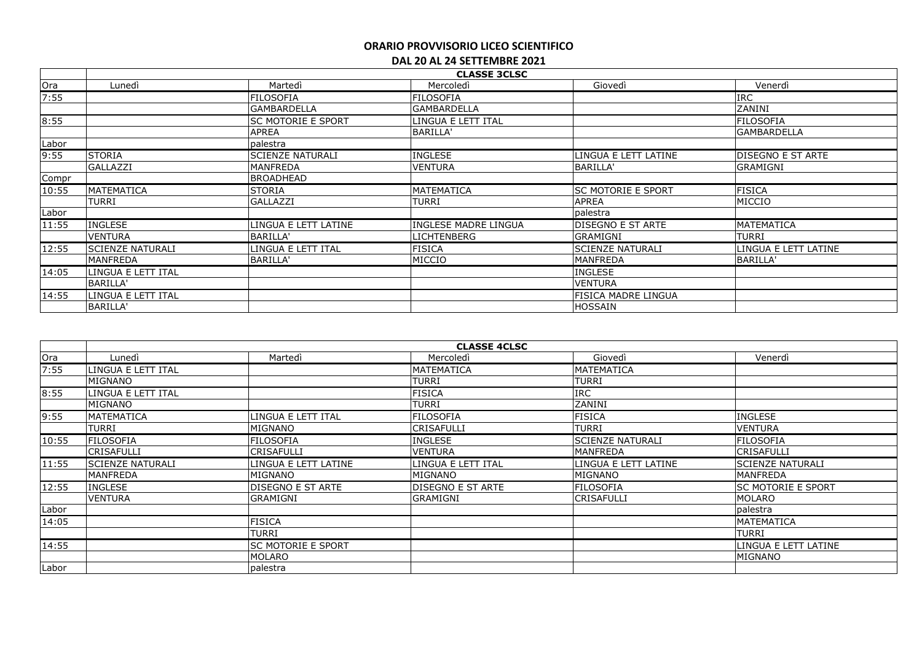|       | <b>CLASSE 3CLSC</b>     |                           |                      |                            |                          |  |  |  |
|-------|-------------------------|---------------------------|----------------------|----------------------------|--------------------------|--|--|--|
| Ora   | Lunedì                  | Martedì                   | Mercoledì            | Giovedì                    | Venerdì                  |  |  |  |
| 7:55  |                         | <b>FILOSOFIA</b>          | FILOSOFIA            |                            | <b>IRC</b>               |  |  |  |
|       |                         | <b>GAMBARDELLA</b>        | <b>GAMBARDELLA</b>   |                            | ZANINI                   |  |  |  |
| 8:55  |                         | <b>SC MOTORIE E SPORT</b> | LINGUA E LETT ITAL   |                            | FILOSOFIA                |  |  |  |
|       |                         | <b>APREA</b>              | <b>BARILLA'</b>      |                            | <b>GAMBARDELLA</b>       |  |  |  |
| Labor |                         | palestra                  |                      |                            |                          |  |  |  |
| 9:55  | <b>STORIA</b>           | <b>SCIENZE NATURALI</b>   | <b>INGLESE</b>       | LINGUA E LETT LATINE       | <b>DISEGNO E ST ARTE</b> |  |  |  |
|       | <b>GALLAZZI</b>         | <b>MANFREDA</b>           | <b>VENTURA</b>       | <b>BARILLA'</b>            | <b>GRAMIGNI</b>          |  |  |  |
| Compr |                         | BROADHEAD                 |                      |                            |                          |  |  |  |
| 10:55 | MATEMATICA              | <b>STORIA</b>             | MATEMATICA           | <b>SC MOTORIE E SPORT</b>  | <b>FISICA</b>            |  |  |  |
|       | TURRI                   | GALLAZZI                  | TURRI                | APREA                      | MICCIO                   |  |  |  |
| Labor |                         |                           |                      | palestra                   |                          |  |  |  |
| 11:55 | <b>INGLESE</b>          | LINGUA E LETT LATINE      | INGLESE MADRE LINGUA | <b>DISEGNO E ST ARTE</b>   | IMATEMATICA              |  |  |  |
|       | <b>VENTURA</b>          | BARILLA'                  | LICHTENBERG          | GRAMIGNI                   | TURRI                    |  |  |  |
| 12:55 | <b>SCIENZE NATURALI</b> | LINGUA E LETT ITAL        | <b>FISICA</b>        | <b>SCIENZE NATURALI</b>    | LINGUA E LETT LATINE     |  |  |  |
|       | MANFREDA                | BARILLA'                  | MICCIO               | <b>MANFREDA</b>            | BARILLA'                 |  |  |  |
| 14:05 | LINGUA E LETT ITAL      |                           |                      | <b>INGLESE</b>             |                          |  |  |  |
|       | BARILLA'                |                           |                      | <b>VENTURA</b>             |                          |  |  |  |
| 14:55 | LINGUA E LETT ITAL      |                           |                      | <b>FISICA MADRE LINGUA</b> |                          |  |  |  |
|       | <b>BARILLA'</b>         |                           |                      | <b>HOSSAIN</b>             |                          |  |  |  |

| <b>CLASSE 4CLSC</b> |                         |                           |                           |                         |                           |  |
|---------------------|-------------------------|---------------------------|---------------------------|-------------------------|---------------------------|--|
| Ora                 | Lunedì                  | Martedì                   | Mercoledì                 | Giovedì                 | Venerdì                   |  |
| 7:55                | LINGUA E LETT ITAL      |                           | MATEMATICA                | MATEMATICA              |                           |  |
|                     | MIGNANO                 |                           | <b>TURRI</b>              | <b>TURRI</b>            |                           |  |
| 8:55                | LINGUA E LETT ITAL      |                           | <b>FISICA</b>             | <b>IRC</b>              |                           |  |
|                     | MIGNANO                 |                           | <b>TURRI</b>              | ZANINI                  |                           |  |
| 9:55                | <b>MATEMATICA</b>       | LINGUA E LETT ITAL        | <b>FILOSOFIA</b>          | <b>FISICA</b>           | <b>INGLESE</b>            |  |
|                     | TURRI                   | MIGNANO                   | CRISAFULLI                | <b>TURRI</b>            | <b>VENTURA</b>            |  |
| 10:55               | <b>FILOSOFIA</b>        | <b>FILOSOFIA</b>          | <b>INGLESE</b>            | <b>SCIENZE NATURALI</b> | <b>FILOSOFIA</b>          |  |
|                     | <b>CRISAFULLI</b>       | CRISAFULLI                | <b>IVENTURA</b>           | MANFREDA                | CRISAFULLI                |  |
| 11:55               | <b>SCIENZE NATURALI</b> | LINGUA E LETT LATINE      | LINGUA E LETT ITAL        | LINGUA E LETT LATINE    | <b>SCIENZE NATURALI</b>   |  |
|                     | <b>MANFREDA</b>         | MIGNANO                   | MIGNANO                   | MIGNANO                 | MANFREDA                  |  |
| 12:55               | <b>INGLESE</b>          | DISEGNO E ST ARTE         | <b>IDISEGNO E ST ARTE</b> | <b>FILOSOFIA</b>        | <b>SC MOTORIE E SPORT</b> |  |
|                     | <b>VENTURA</b>          | <b>GRAMIGNI</b>           | GRAMIGNI                  | CRISAFULLI              | MOLARO                    |  |
| Labor               |                         |                           |                           |                         | palestra                  |  |
| 14:05               |                         | <b>FISICA</b>             |                           |                         | <b>MATEMATICA</b>         |  |
|                     |                         | TURRI                     |                           |                         | TURRI                     |  |
| 14:55               |                         | <b>SC MOTORIE E SPORT</b> |                           |                         | LINGUA E LETT LATINE      |  |
|                     |                         | MOLARO                    |                           |                         | <b>MIGNANO</b>            |  |
| Labor               |                         | palestra                  |                           |                         |                           |  |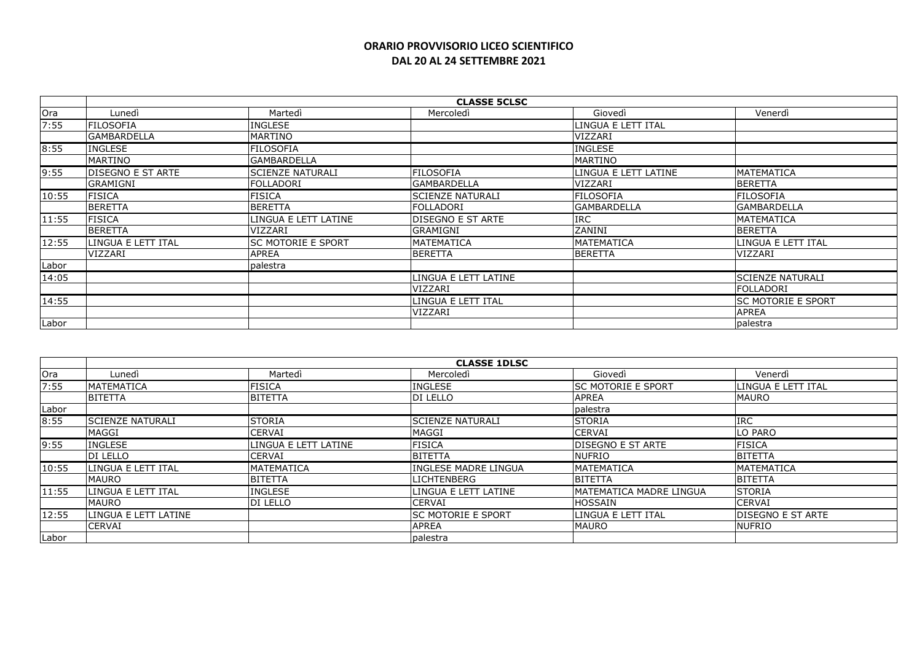|       | <b>CLASSE 5CLSC</b>      |                           |                          |                      |                           |  |
|-------|--------------------------|---------------------------|--------------------------|----------------------|---------------------------|--|
| Ora   | Lunedì                   | Martedì                   | Mercoledì                | Giovedì              | Venerdì                   |  |
| 7:55  | <b>FILOSOFIA</b>         | <b>INGLESE</b>            |                          | LINGUA E LETT ITAL   |                           |  |
|       | <b>GAMBARDELLA</b>       | MARTINO                   |                          | VIZZARI              |                           |  |
| 8:55  | <b>INGLESE</b>           | <b>FILOSOFIA</b>          |                          | <b>INGLESE</b>       |                           |  |
|       | MARTINO                  | <b>GAMBARDELLA</b>        |                          | MARTINO              |                           |  |
| 9:55  | <b>DISEGNO E ST ARTE</b> | <b>SCIENZE NATURALI</b>   | <b>FILOSOFIA</b>         | LINGUA E LETT LATINE | <b>MATEMATICA</b>         |  |
|       | <b>GRAMIGNI</b>          | FOLLADORI                 | <b>GAMBARDELLA</b>       | VIZZARI              | <b>BERETTA</b>            |  |
| 10:55 | <b>FISICA</b>            | FISICA                    | <b>SCIENZE NATURALI</b>  | <b>FILOSOFIA</b>     | <b>FILOSOFIA</b>          |  |
|       | <b>BERETTA</b>           | <b>BERETTA</b>            | FOLLADORI                | lGAMBARDELLA         | <b>GAMBARDELLA</b>        |  |
| 11:55 | <b>FISICA</b>            | LINGUA E LETT LATINE      | <b>DISEGNO E ST ARTE</b> | <b>IRC</b>           | <b>MATEMATICA</b>         |  |
|       | <b>BERETTA</b>           | <b>VIZZARI</b>            | <b>GRAMIGNI</b>          | ZANINI               | <b>BERETTA</b>            |  |
| 12:55 | LINGUA E LETT ITAL       | <b>SC MOTORIE E SPORT</b> | <b>MATEMATICA</b>        | IMATEMATICA          | LINGUA E LETT ITAL        |  |
|       | VIZZARI                  | <b>APREA</b>              | <b>BERETTA</b>           | <b>BERETTA</b>       | VIZZARI                   |  |
| Labor |                          | palestra                  |                          |                      |                           |  |
| 14:05 |                          |                           | LINGUA E LETT LATINE     |                      | <b>SCIENZE NATURALI</b>   |  |
|       |                          |                           | VIZZARI                  |                      | lfolladori                |  |
| 14:55 |                          |                           | LINGUA E LETT ITAL       |                      | <b>SC MOTORIE E SPORT</b> |  |
|       |                          |                           | VIZZARI                  |                      | <b>APREA</b>              |  |
| Labor |                          |                           |                          |                      | palestra                  |  |

|       | <b>CLASSE 1DLSC</b>     |                      |                             |                                 |                          |  |  |
|-------|-------------------------|----------------------|-----------------------------|---------------------------------|--------------------------|--|--|
| Ora   | Lunedì                  | Martedì              | Mercoledì                   | Giovedì                         | Venerdì                  |  |  |
| 7:55  | <b>MATEMATICA</b>       | <b>FISICA</b>        | <b>INGLESE</b>              | <b>ISC MOTORIE E SPORT</b>      | LINGUA E LETT ITAL       |  |  |
|       | <b>BITETTA</b>          | <b>BITETTA</b>       | <b>DI LELLO</b>             | <b>APREA</b>                    | <b>MAURO</b>             |  |  |
| Labor |                         |                      |                             | palestra                        |                          |  |  |
| 8:55  | <b>SCIENZE NATURALI</b> | <b>STORIA</b>        | <b>SCIENZE NATURALI</b>     | <b>STORIA</b>                   | <b>IRC</b>               |  |  |
|       | MAGGI                   | <b>CERVAI</b>        | <b>MAGGI</b>                | <b>CERVAI</b>                   | LO PARO                  |  |  |
| 9:55  | <b>INGLESE</b>          | LINGUA E LETT LATINE | <b>FISICA</b>               | <b>DISEGNO E ST ARTE</b>        | FISICA                   |  |  |
|       | <b>DI LELLO</b>         | <b>CERVAI</b>        | <b>BITETTA</b>              | <b>NUFRIO</b>                   | <b>BITETTA</b>           |  |  |
| 10:55 | LINGUA E LETT ITAL      | IMATEMATICA          | <b>INGLESE MADRE LINGUA</b> | <b>MATEMATICA</b>               | <b>MATEMATICA</b>        |  |  |
|       | <b>MAURO</b>            | <b>BITETTA</b>       | <b>LICHTENBERG</b>          | <b>BITETTA</b>                  | <b>BITETTA</b>           |  |  |
| 11:55 | llingua e lett ital     | <b>INGLESE</b>       | LINGUA E LETT LATINE        | <b>IMATEMATICA MADRE LINGUA</b> | <b>STORIA</b>            |  |  |
|       | <b>MAURO</b>            | <b>DI LELLO</b>      | <b>CERVAI</b>               | <b>HOSSAIN</b>                  | <b>CERVAI</b>            |  |  |
| 12:55 | LINGUA E LETT LATINE    |                      | <b>ISC MOTORIE E SPORT</b>  | LINGUA E LETT ITAL              | <b>DISEGNO E ST ARTE</b> |  |  |
|       | <b>CERVAI</b>           |                      | <b>APREA</b>                | <b>MAURO</b>                    | <b>NUFRIO</b>            |  |  |
| Labor |                         |                      | palestra                    |                                 |                          |  |  |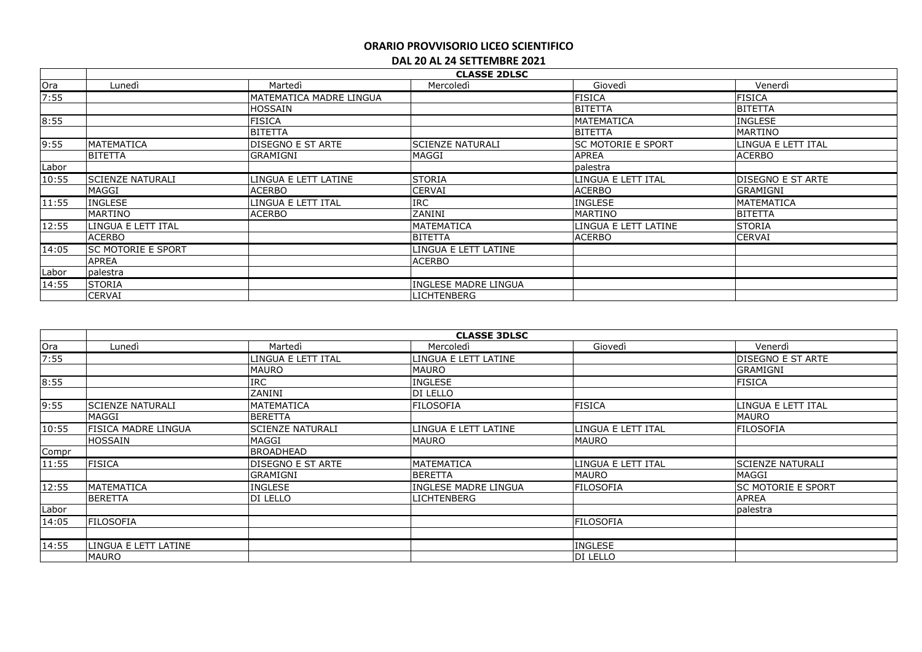| <b>CLASSE 2DLSC</b> |                           |                          |                         |                           |                           |  |  |
|---------------------|---------------------------|--------------------------|-------------------------|---------------------------|---------------------------|--|--|
| Ora                 | Lunedì                    | Martedì                  | Mercoledì               | Giovedì                   | Venerdì                   |  |  |
| 7:55                |                           | MATEMATICA MADRE LINGUA  |                         | <b>FISICA</b>             | <b>FISICA</b>             |  |  |
|                     |                           | HOSSAIN                  |                         | <b>BITETTA</b>            | <b>BITETTA</b>            |  |  |
| 8:55                |                           | <b>FISICA</b>            |                         | <b>MATEMATICA</b>         | <b>INGLESE</b>            |  |  |
|                     |                           | <b>BITETTA</b>           |                         | <b>BITETTA</b>            | <b>MARTINO</b>            |  |  |
| 9:55                | MATEMATICA                | <b>DISEGNO E ST ARTE</b> | <b>SCIENZE NATURALI</b> | <b>SC MOTORIE E SPORT</b> | llingua e lett ital       |  |  |
|                     | BITETTA                   | <b>GRAMIGNI</b>          | <b>MAGGI</b>            | <b>APREA</b>              | <b>ACERBO</b>             |  |  |
| Labor               |                           |                          |                         | palestra                  |                           |  |  |
| 10:55               | <b>SCIENZE NATURALI</b>   | LINGUA E LETT LATINE     | <b>STORIA</b>           | LINGUA E LETT ITAL        | <b>IDISEGNO E ST ARTE</b> |  |  |
|                     | MAGGI                     | <b>ACERBO</b>            | <b>CERVAI</b>           | <b>ACERBO</b>             | <b>GRAMIGNI</b>           |  |  |
| 11:55               | INGLESE                   | LINGUA E LETT ITAL       | <b>IRC</b>              | <b>INGLESE</b>            | <b>MATEMATICA</b>         |  |  |
|                     | MARTINO                   | <b>ACERBO</b>            | ZANINI                  | <b>MARTINO</b>            | <b>BITETTA</b>            |  |  |
| 12:55               | LINGUA E LETT ITAL        |                          | <b>MATEMATICA</b>       | LINGUA E LETT LATINE      | <b>STORIA</b>             |  |  |
|                     | <b>ACERBO</b>             |                          | <b>BITETTA</b>          | <b>ACERBO</b>             | <b>CERVAI</b>             |  |  |
| 14:05               | <b>SC MOTORIE E SPORT</b> |                          | LINGUA E LETT LATINE    |                           |                           |  |  |
|                     | <b>APREA</b>              |                          | <b>ACERBO</b>           |                           |                           |  |  |
| Labor               | palestra                  |                          |                         |                           |                           |  |  |
| 14:55               | <b>STORIA</b>             |                          | INGLESE MADRE LINGUA    |                           |                           |  |  |
|                     | <b>CERVAI</b>             |                          | <b>LICHTENBERG</b>      |                           |                           |  |  |

|       | <b>CLASSE 3DLSC</b>        |                          |                             |                    |                           |  |  |  |
|-------|----------------------------|--------------------------|-----------------------------|--------------------|---------------------------|--|--|--|
| Ora   | Lunedì                     | Martedì                  | Mercoledì                   | Giovedì            | Venerdì                   |  |  |  |
| 7:55  |                            | LINGUA E LETT ITAL       | LINGUA E LETT LATINE        |                    | <b>IDISEGNO E ST ARTE</b> |  |  |  |
|       |                            | <b>MAURO</b>             | <b>MAURO</b>                |                    | <b>GRAMIGNI</b>           |  |  |  |
| 8:55  |                            | <b>IRC</b>               | <b>INGLESE</b>              |                    | <b>FISICA</b>             |  |  |  |
|       |                            | ZANINI                   | DI LELLO                    |                    |                           |  |  |  |
| 9:55  | <b>SCIENZE NATURALI</b>    | <b>MATEMATICA</b>        | <b>FILOSOFIA</b>            | <b>FISICA</b>      | LINGUA E LETT ITAL        |  |  |  |
|       | MAGGI                      | <b>BERETTA</b>           |                             |                    | <b>MAURO</b>              |  |  |  |
| 10:55 | <b>FISICA MADRE LINGUA</b> | <b>SCIENZE NATURALI</b>  | LINGUA E LETT LATINE        | LINGUA E LETT ITAL | <b>FILOSOFIA</b>          |  |  |  |
|       | <b>HOSSAIN</b>             | MAGGI                    | <b>MAURO</b>                | <b>MAURO</b>       |                           |  |  |  |
| Compr |                            | <b>BROADHEAD</b>         |                             |                    |                           |  |  |  |
| 11:55 | <b>FISICA</b>              | <b>DISEGNO E ST ARTE</b> | MATEMATICA                  | LINGUA E LETT ITAL | <b>SCIENZE NATURALI</b>   |  |  |  |
|       |                            | <b>GRAMIGNI</b>          | <b>BERETTA</b>              | <b>MAURO</b>       | MAGGI                     |  |  |  |
| 12:55 | MATEMATICA                 | INGLESE                  | <b>INGLESE MADRE LINGUA</b> | FILOSOFIA          | <b>SC MOTORIE E SPORT</b> |  |  |  |
|       | BERETTA                    | DI LELLO                 | <b>LICHTENBERG</b>          |                    | <b>APREA</b>              |  |  |  |
| Labor |                            |                          |                             |                    | palestra                  |  |  |  |
| 14:05 | <b>FILOSOFIA</b>           |                          |                             | <b>FILOSOFIA</b>   |                           |  |  |  |
|       |                            |                          |                             |                    |                           |  |  |  |
| 14:55 | LINGUA E LETT LATINE       |                          |                             | <b>INGLESE</b>     |                           |  |  |  |
|       | <b>MAURO</b>               |                          |                             | DI LELLO           |                           |  |  |  |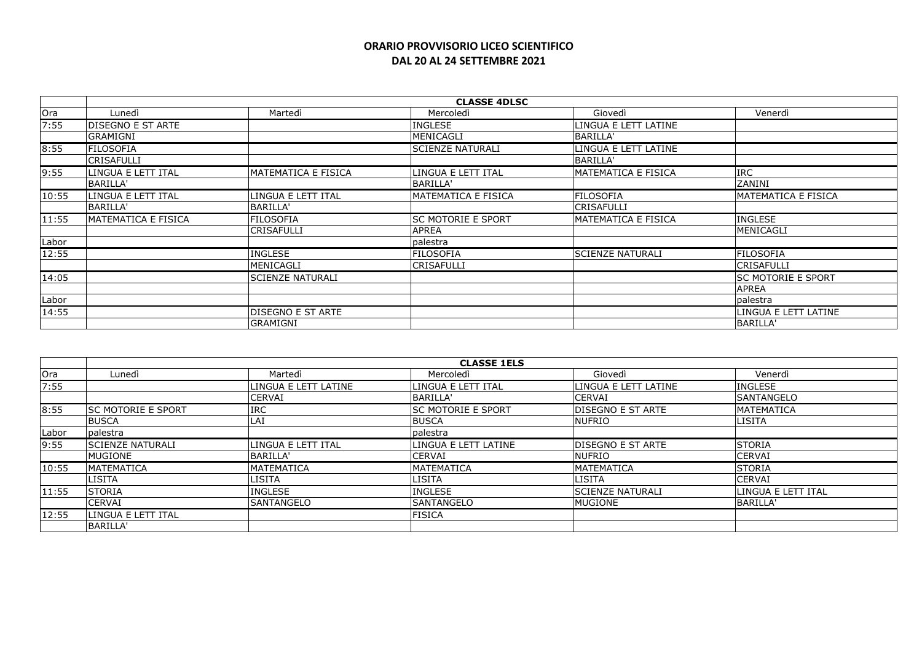|       | <b>CLASSE 4DLSC</b>       |                            |                           |                            |                            |  |  |
|-------|---------------------------|----------------------------|---------------------------|----------------------------|----------------------------|--|--|
| Ora   | Lunedì                    | Martedì                    | Mercoledì                 | Giovedì                    | Venerdì                    |  |  |
| 7:55  | <b>IDISEGNO E ST ARTE</b> |                            | <b>INGLESE</b>            | LINGUA E LETT LATINE       |                            |  |  |
|       | GRAMIGNI                  |                            | MENICAGLI                 | <b>BARILLA'</b>            |                            |  |  |
| 8:55  | <b>FILOSOFIA</b>          |                            | <b>SCIENZE NATURALI</b>   | LINGUA E LETT LATINE       |                            |  |  |
|       | <b>CRISAFULLI</b>         |                            |                           | <b>BARILLA'</b>            |                            |  |  |
| 9:55  | LINGUA E LETT ITAL        | <b>MATEMATICA E FISICA</b> | LINGUA E LETT ITAL        | <b>MATEMATICA E FISICA</b> | <b>IRC</b>                 |  |  |
|       | BARILLA'                  |                            | BARILLA'                  |                            | ZANINI                     |  |  |
| 10:55 | LINGUA E LETT ITAL        | LINGUA E LETT ITAL         | MATEMATICA E FISICA       | <b>FILOSOFIA</b>           | <b>MATEMATICA E FISICA</b> |  |  |
|       | BARILLA'                  | <b>BARILLA'</b>            |                           | CRISAFULLI                 |                            |  |  |
| 11:55 | MATEMATICA E FISICA       | <b>FILOSOFIA</b>           | <b>SC MOTORIE E SPORT</b> | <b>MATEMATICA E FISICA</b> | <b>INGLESE</b>             |  |  |
|       |                           | CRISAFULLI                 | <b>APREA</b>              |                            | MENICAGLI                  |  |  |
| Labor |                           |                            | palestra                  |                            |                            |  |  |
| 12:55 |                           | <b>INGLESE</b>             | FILOSOFIA                 | <b>SCIENZE NATURALI</b>    | <b>FILOSOFIA</b>           |  |  |
|       |                           | MENICAGLI                  | <b>CRISAFULLI</b>         |                            | <b>CRISAFULLI</b>          |  |  |
| 14:05 |                           | <b>SCIENZE NATURALI</b>    |                           |                            | <b>SC MOTORIE E SPORT</b>  |  |  |
|       |                           |                            |                           |                            | <b>APREA</b>               |  |  |
| Labor |                           |                            |                           |                            | palestra                   |  |  |
| 14:55 |                           | <b>DISEGNO E ST ARTE</b>   |                           |                            | LINGUA E LETT LATINE       |  |  |
|       |                           | <b>GRAMIGNI</b>            |                           |                            | <b>BARILLA</b>             |  |  |

|            | <b>CLASSE 1ELS</b>        |                      |                            |                          |                    |  |  |
|------------|---------------------------|----------------------|----------------------------|--------------------------|--------------------|--|--|
| <b>Ora</b> | Lunedì                    | Martedì              | Mercoledì                  | Giovedì                  | Venerdì            |  |  |
| 7:55       |                           | LINGUA E LETT LATINE | LINGUA E LETT ITAL         | LINGUA E LETT LATINE     | <b>INGLESE</b>     |  |  |
|            |                           | <b>CERVAI</b>        | BARILLA'                   | <b>CERVAI</b>            | ISANTANGELO        |  |  |
| 8:55       | <b>SC MOTORIE E SPORT</b> | <b>IRC</b>           | <b>ISC MOTORIE E SPORT</b> | <b>DISEGNO E ST ARTE</b> | <b>MATEMATICA</b>  |  |  |
|            | <b>BUSCA</b>              | LAI                  | <b>BUSCA</b>               | <b>NUFRIO</b>            | LISITA             |  |  |
| Labor      | palestra                  |                      | palestra                   |                          |                    |  |  |
| 9:55       | <b>ISCIENZE NATURALI</b>  | LINGUA E LETT ITAL   | llingua e lett latine      | <b>DISEGNO E ST ARTE</b> | <b>STORIA</b>      |  |  |
|            | <b>MUGIONE</b>            | BARILLA'             | <b>CERVAI</b>              | NUFRIO                   | <b>CERVAI</b>      |  |  |
| 10:55      | <b>MATEMATICA</b>         | <b>MATEMATICA</b>    | <b>MATEMATICA</b>          | <b>MATEMATICA</b>        | <b>STORIA</b>      |  |  |
|            | <b>LISITA</b>             | LISITA               | <b>LISITA</b>              | LISITA                   | <b>CERVAI</b>      |  |  |
| 11:55      | <b>STORIA</b>             | <b>INGLESE</b>       | <b>INGLESE</b>             | <b>SCIENZE NATURALI</b>  | LINGUA E LETT ITAL |  |  |
|            | <b>CERVAI</b>             | <b>SANTANGELO</b>    | <b>SANTANGELO</b>          | MUGIONE                  | BARILLA'           |  |  |
| 12:55      | ILINGUA E LETT ITAL       |                      | <b>FISICA</b>              |                          |                    |  |  |
|            | BARILLA'                  |                      |                            |                          |                    |  |  |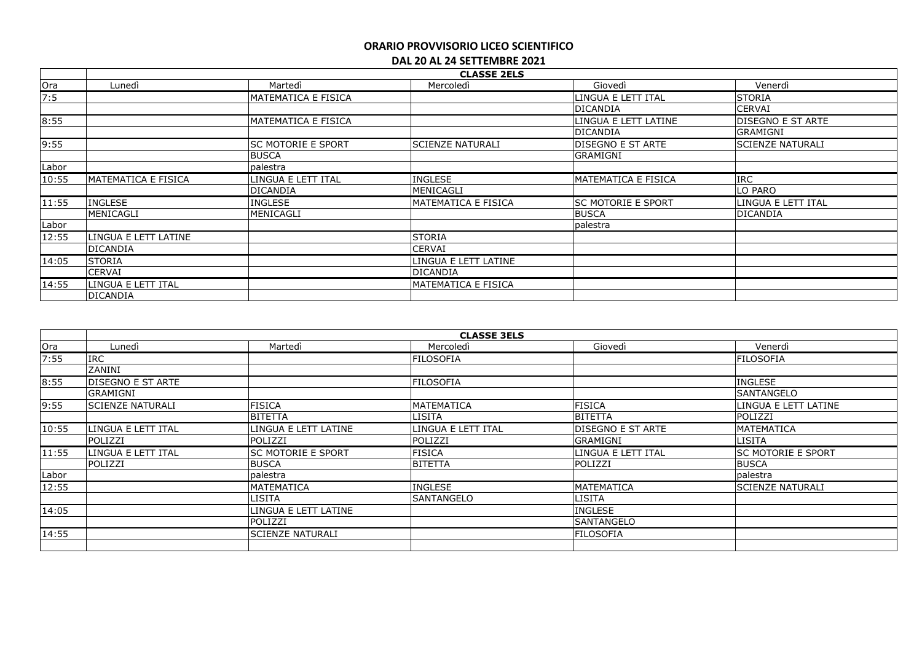|       |                      | <b>CLASSE 2ELS</b>        |                            |                          |                          |  |  |
|-------|----------------------|---------------------------|----------------------------|--------------------------|--------------------------|--|--|
| Ora   | Lunedì               | Martedì                   | Mercoledì                  | Giovedì                  | Venerdì                  |  |  |
| 7:5   |                      | MATEMATICA E FISICA       |                            | LINGUA E LETT ITAL       | <b>STORIA</b>            |  |  |
|       |                      |                           |                            | DICANDIA                 | CERVAI                   |  |  |
| 8:55  |                      | IMATEMATICA E FISICA      |                            | LINGUA E LETT LATINE     | <b>DISEGNO E ST ARTE</b> |  |  |
|       |                      |                           |                            | DICANDIA                 | GRAMIGNI                 |  |  |
| 9:55  |                      | <b>SC MOTORIE E SPORT</b> | <b>SCIENZE NATURALI</b>    | <b>DISEGNO E ST ARTE</b> | <b>SCIENZE NATURALI</b>  |  |  |
|       |                      | <b>BUSCA</b>              |                            | <b>GRAMIGNI</b>          |                          |  |  |
| Labor |                      | palestra                  |                            |                          |                          |  |  |
| 10:55 | MATEMATICA E FISICA  | LINGUA E LETT ITAL        | <b>INGLESE</b>             | MATEMATICA E FISICA      | <b>IRC</b>               |  |  |
|       |                      | <b>DICANDIA</b>           | MENICAGLI                  |                          | LO PARO                  |  |  |
| 11:55 | <b>INGLESE</b>       | <b>INGLESE</b>            | <b>MATEMATICA E FISICA</b> | lsc motorie e sport      | LINGUA E LETT ITAL       |  |  |
|       | MENICAGLI            | MENICAGLI                 |                            | <b>BUSCA</b>             | <b>DICANDIA</b>          |  |  |
| Labor |                      |                           |                            | palestra                 |                          |  |  |
| 12:55 | LINGUA E LETT LATINE |                           | <b>STORIA</b>              |                          |                          |  |  |
|       | <b>DICANDIA</b>      |                           | <b>CERVAI</b>              |                          |                          |  |  |
| 14:05 | <b>STORIA</b>        |                           | LINGUA E LETT LATINE       |                          |                          |  |  |
|       | <b>CERVAI</b>        |                           | DICANDIA                   |                          |                          |  |  |
| 14:55 | llingua e lett ital  |                           | IMATEMATICA E FISICA       |                          |                          |  |  |
|       | <b>DICANDIA</b>      |                           |                            |                          |                          |  |  |

| Ora   | Lunedì                   | Martedì                   | Mercoledì          | Giovedì                   | Venerdì                   |
|-------|--------------------------|---------------------------|--------------------|---------------------------|---------------------------|
| 7:55  | <b>IRC</b>               |                           | <b>FILOSOFIA</b>   |                           | <b>FILOSOFIA</b>          |
|       | ZANINI                   |                           |                    |                           |                           |
| 8:55  | <b>DISEGNO E ST ARTE</b> |                           | <b>FILOSOFIA</b>   |                           | <b>INGLESE</b>            |
|       | <b>GRAMIGNI</b>          |                           |                    |                           | <b>SANTANGELO</b>         |
| 9:55  | <b>SCIENZE NATURALI</b>  | <b>FISICA</b>             | MATEMATICA         | <b>FISICA</b>             | LINGUA E LETT LATINE      |
|       |                          | <b>BITETTA</b>            | <b>LISITA</b>      | <b>BITETTA</b>            | POLIZZI                   |
| 10:55 | LINGUA E LETT ITAL       | LINGUA E LETT LATINE      | LINGUA E LETT ITAL | <b>IDISEGNO E ST ARTE</b> | MATEMATICA                |
|       | POLIZZI                  | POLIZZI                   | POLIZZI            | <b>GRAMIGNI</b>           | <b>LISITA</b>             |
| 11:55 | LINGUA E LETT ITAL       | <b>SC MOTORIE E SPORT</b> | <b>FISICA</b>      | LINGUA E LETT ITAL        | <b>SC MOTORIE E SPORT</b> |
|       | POLIZZI                  | <b>BUSCA</b>              | <b>BITETTA</b>     | POLIZZI                   | <b>BUSCA</b>              |
| Labor |                          | palestra                  |                    |                           | palestra                  |
| 12:55 |                          | <b>MATEMATICA</b>         | <b>INGLESE</b>     | <b>MATEMATICA</b>         | <b>SCIENZE NATURALI</b>   |
|       |                          | <b>LISITA</b>             | ISANTANGELO        | <b>LISITA</b>             |                           |
| 14:05 |                          | LINGUA E LETT LATINE      |                    | <b>INGLESE</b>            |                           |
|       |                          | POLIZZI                   |                    | <b>SANTANGELO</b>         |                           |
| 14:55 |                          | <b>ISCIENZE NATURALI</b>  |                    | <b>FILOSOFIA</b>          |                           |
|       |                          |                           |                    |                           |                           |